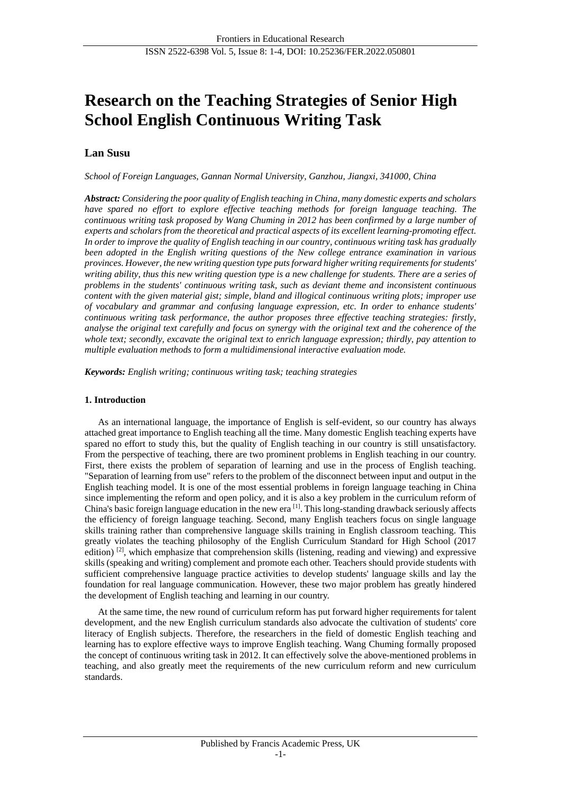# **Research on the Teaching Strategies of Senior High School English Continuous Writing Task**

# **Lan Susu**

*School of Foreign Languages, Gannan Normal University, Ganzhou, Jiangxi, 341000, China*

*Abstract: Considering the poor quality of English teaching in China, many domestic experts and scholars have spared no effort to explore effective teaching methods for foreign language teaching. The continuous writing task proposed by Wang Chuming in 2012 has been confirmed by a large number of experts and scholars from the theoretical and practical aspects of its excellent learning-promoting effect. In order to improve the quality of English teaching in our country, continuous writing task has gradually been adopted in the English writing questions of the New college entrance examination in various provinces. However, the new writing question type puts forward higher writing requirements for students' writing ability, thus this new writing question type is a new challenge for students. There are a series of problems in the students' continuous writing task, such as deviant theme and inconsistent continuous content with the given material gist; simple, bland and illogical continuous writing plots; improper use of vocabulary and grammar and confusing language expression, etc. In order to enhance students' continuous writing task performance, the author proposes three effective teaching strategies: firstly, analyse the original text carefully and focus on synergy with the original text and the coherence of the whole text; secondly, excavate the original text to enrich language expression; thirdly, pay attention to multiple evaluation methods to form a multidimensional interactive evaluation mode.*

*Keywords: English writing; continuous writing task; teaching strategies*

# **1. Introduction**

As an international language, the importance of English is self-evident, so our country has always attached great importance to English teaching all the time. Many domestic English teaching experts have spared no effort to study this, but the quality of English teaching in our country is still unsatisfactory. From the perspective of teaching, there are two prominent problems in English teaching in our country. First, there exists the problem of separation of learning and use in the process of English teaching. "Separation of learning from use" refers to the problem of the disconnect between input and output in the English teaching model. It is one of the most essential problems in foreign language teaching in China since implementing the reform and open policy, and it is also a key problem in the curriculum reform of China's basic foreign language education in the new era  $\left[1\right]$ . This long-standing drawback seriously affects the efficiency of foreign language teaching. Second, many English teachers focus on single language skills training rather than comprehensive language skills training in English classroom teaching. This greatly violates the teaching philosophy of the English Curriculum Standard for High School (2017 edition)  $[2]$ , which emphasize that comprehension skills (listening, reading and viewing) and expressive skills (speaking and writing) complement and promote each other. Teachers should provide students with sufficient comprehensive language practice activities to develop students' language skills and lay the foundation for real language communication. However, these two major problem has greatly hindered the development of English teaching and learning in our country.

At the same time, the new round of curriculum reform has put forward higher requirements for talent development, and the new English curriculum standards also advocate the cultivation of students' core literacy of English subjects. Therefore, the researchers in the field of domestic English teaching and learning has to explore effective ways to improve English teaching. Wang Chuming formally proposed the concept of continuous writing task in 2012. It can effectively solve the above-mentioned problems in teaching, and also greatly meet the requirements of the new curriculum reform and new curriculum standards.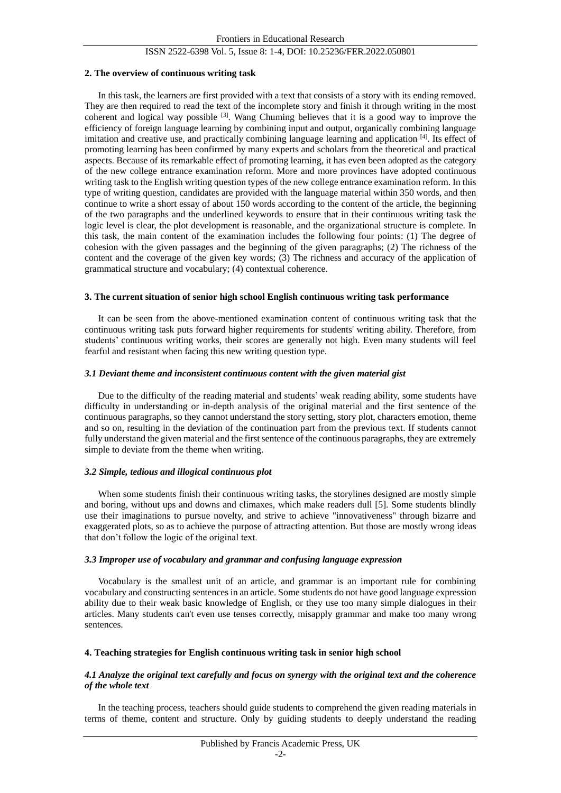## ISSN 2522-6398 Vol. 5, Issue 8: 1-4, DOI: 10.25236/FER.2022.050801

#### **2. The overview of continuous writing task**

In this task, the learners are first provided with a text that consists of a story with its ending removed. They are then required to read the text of the incomplete story and finish it through writing in the most coherent and logical way possible <sup>[3]</sup>. Wang Chuming believes that it is a good way to improve the efficiency of foreign language learning by combining input and output, organically combining language imitation and creative use, and practically combining language learning and application [4]. Its effect of promoting learning has been confirmed by many experts and scholars from the theoretical and practical aspects. Because of its remarkable effect of promoting learning, it has even been adopted as the category of the new college entrance examination reform. More and more provinces have adopted continuous writing task to the English writing question types of the new college entrance examination reform. In this type of writing question, candidates are provided with the language material within 350 words, and then continue to write a short essay of about 150 words according to the content of the article, the beginning of the two paragraphs and the underlined keywords to ensure that in their continuous writing task the logic level is clear, the plot development is reasonable, and the organizational structure is complete. In this task, the main content of the examination includes the following four points: (1) The degree of cohesion with the given passages and the beginning of the given paragraphs; (2) The richness of the content and the coverage of the given key words; (3) The richness and accuracy of the application of grammatical structure and vocabulary; (4) contextual coherence.

#### **3. The current situation of senior high school English continuous writing task performance**

It can be seen from the above-mentioned examination content of continuous writing task that the continuous writing task puts forward higher requirements for students' writing ability. Therefore, from students' continuous writing works, their scores are generally not high. Even many students will feel fearful and resistant when facing this new writing question type.

#### *3.1 Deviant theme and inconsistent continuous content with the given material gist*

Due to the difficulty of the reading material and students' weak reading ability, some students have difficulty in understanding or in-depth analysis of the original material and the first sentence of the continuous paragraphs, so they cannot understand the story setting, story plot, characters emotion, theme and so on, resulting in the deviation of the continuation part from the previous text. If students cannot fully understand the given material and the first sentence of the continuous paragraphs, they are extremely simple to deviate from the theme when writing.

## *3.2 Simple, tedious and illogical continuous plot*

When some students finish their continuous writing tasks, the storylines designed are mostly simple and boring, without ups and downs and climaxes, which make readers dull [5]. Some students blindly use their imaginations to pursue novelty, and strive to achieve "innovativeness" through bizarre and exaggerated plots, so as to achieve the purpose of attracting attention. But those are mostly wrong ideas that don't follow the logic of the original text.

#### *3.3 Improper use of vocabulary and grammar and confusing language expression*

Vocabulary is the smallest unit of an article, and grammar is an important rule for combining vocabulary and constructing sentences in an article. Some students do not have good language expression ability due to their weak basic knowledge of English, or they use too many simple dialogues in their articles. Many students can't even use tenses correctly, misapply grammar and make too many wrong sentences.

## **4. Teaching strategies for English continuous writing task in senior high school**

## *4.1 Analyze the original text carefully and focus on synergy with the original text and the coherence of the whole text*

In the teaching process, teachers should guide students to comprehend the given reading materials in terms of theme, content and structure. Only by guiding students to deeply understand the reading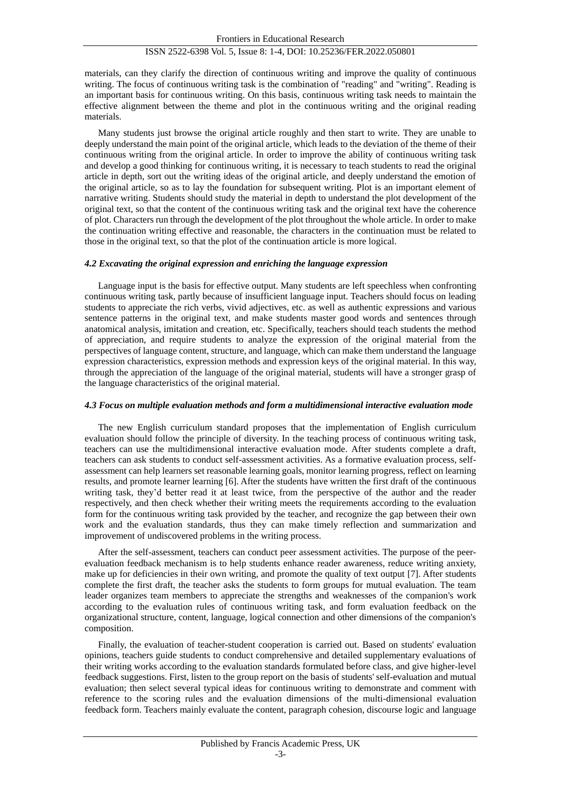#### ISSN 2522-6398 Vol. 5, Issue 8: 1-4, DOI: 10.25236/FER.2022.050801

materials, can they clarify the direction of continuous writing and improve the quality of continuous writing. The focus of continuous writing task is the combination of "reading" and "writing". Reading is an important basis for continuous writing. On this basis, continuous writing task needs to maintain the effective alignment between the theme and plot in the continuous writing and the original reading materials.

Many students just browse the original article roughly and then start to write. They are unable to deeply understand the main point of the original article, which leads to the deviation of the theme of their continuous writing from the original article. In order to improve the ability of continuous writing task and develop a good thinking for continuous writing, it is necessary to teach students to read the original article in depth, sort out the writing ideas of the original article, and deeply understand the emotion of the original article, so as to lay the foundation for subsequent writing. Plot is an important element of narrative writing. Students should study the material in depth to understand the plot development of the original text, so that the content of the continuous writing task and the original text have the coherence of plot. Characters run through the development of the plot throughout the whole article. In order to make the continuation writing effective and reasonable, the characters in the continuation must be related to those in the original text, so that the plot of the continuation article is more logical.

#### *4.2 Excavating the original expression and enriching the language expression*

Language input is the basis for effective output. Many students are left speechless when confronting continuous writing task, partly because of insufficient language input. Teachers should focus on leading students to appreciate the rich verbs, vivid adjectives, etc. as well as authentic expressions and various sentence patterns in the original text, and make students master good words and sentences through anatomical analysis, imitation and creation, etc. Specifically, teachers should teach students the method of appreciation, and require students to analyze the expression of the original material from the perspectives of language content, structure, and language, which can make them understand the language expression characteristics, expression methods and expression keys of the original material. In this way, through the appreciation of the language of the original material, students will have a stronger grasp of the language characteristics of the original material.

#### *4.3 Focus on multiple evaluation methods and form a multidimensional interactive evaluation mode*

The new English curriculum standard proposes that the implementation of English curriculum evaluation should follow the principle of diversity. In the teaching process of continuous writing task, teachers can use the multidimensional interactive evaluation mode. After students complete a draft, teachers can ask students to conduct self-assessment activities. As a formative evaluation process, selfassessment can help learners set reasonable learning goals, monitor learning progress, reflect on learning results, and promote learner learning [6]. After the students have written the first draft of the continuous writing task, they'd better read it at least twice, from the perspective of the author and the reader respectively, and then check whether their writing meets the requirements according to the evaluation form for the continuous writing task provided by the teacher, and recognize the gap between their own work and the evaluation standards, thus they can make timely reflection and summarization and improvement of undiscovered problems in the writing process.

After the self-assessment, teachers can conduct peer assessment activities. The purpose of the peerevaluation feedback mechanism is to help students enhance reader awareness, reduce writing anxiety, make up for deficiencies in their own writing, and promote the quality of text output [7]. After students complete the first draft, the teacher asks the students to form groups for mutual evaluation. The team leader organizes team members to appreciate the strengths and weaknesses of the companion's work according to the evaluation rules of continuous writing task, and form evaluation feedback on the organizational structure, content, language, logical connection and other dimensions of the companion's composition.

Finally, the evaluation of teacher-student cooperation is carried out. Based on students' evaluation opinions, teachers guide students to conduct comprehensive and detailed supplementary evaluations of their writing works according to the evaluation standards formulated before class, and give higher-level feedback suggestions. First, listen to the group report on the basis of students' self-evaluation and mutual evaluation; then select several typical ideas for continuous writing to demonstrate and comment with reference to the scoring rules and the evaluation dimensions of the multi-dimensional evaluation feedback form. Teachers mainly evaluate the content, paragraph cohesion, discourse logic and language